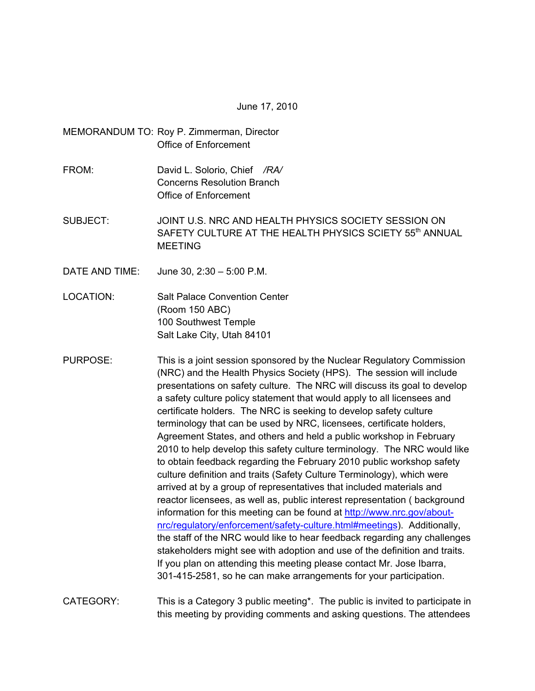June 17, 2010

MEMORANDUM TO: Roy P. Zimmerman, Director Office of Enforcement

- FROM: David L. Solorio, Chief */RA/* Concerns Resolution Branch Office of Enforcement
- SUBJECT: JOINT U.S. NRC AND HEALTH PHYSICS SOCIETY SESSION ON SAFETY CULTURE AT THE HEALTH PHYSICS SCIETY 55<sup>th</sup> ANNUAL MEETING
- DATE AND TIME: June 30, 2:30 5:00 P.M.
- LOCATION: Salt Palace Convention Center (Room 150 ABC) 100 Southwest Temple Salt Lake City, Utah 84101
- PURPOSE: This is a joint session sponsored by the Nuclear Regulatory Commission (NRC) and the Health Physics Society (HPS). The session will include presentations on safety culture. The NRC will discuss its goal to develop a safety culture policy statement that would apply to all licensees and certificate holders. The NRC is seeking to develop safety culture terminology that can be used by NRC, licensees, certificate holders, Agreement States, and others and held a public workshop in February 2010 to help develop this safety culture terminology. The NRC would like to obtain feedback regarding the February 2010 public workshop safety culture definition and traits (Safety Culture Terminology), which were arrived at by a group of representatives that included materials and reactor licensees, as well as, public interest representation ( background information for this meeting can be found at http://www.nrc.gov/aboutnrc/regulatory/enforcement/safety-culture.html#meetings). Additionally, the staff of the NRC would like to hear feedback regarding any challenges stakeholders might see with adoption and use of the definition and traits. If you plan on attending this meeting please contact Mr. Jose Ibarra, 301-415-2581, so he can make arrangements for your participation.
- CATEGORY: This is a Category 3 public meeting\*. The public is invited to participate in this meeting by providing comments and asking questions. The attendees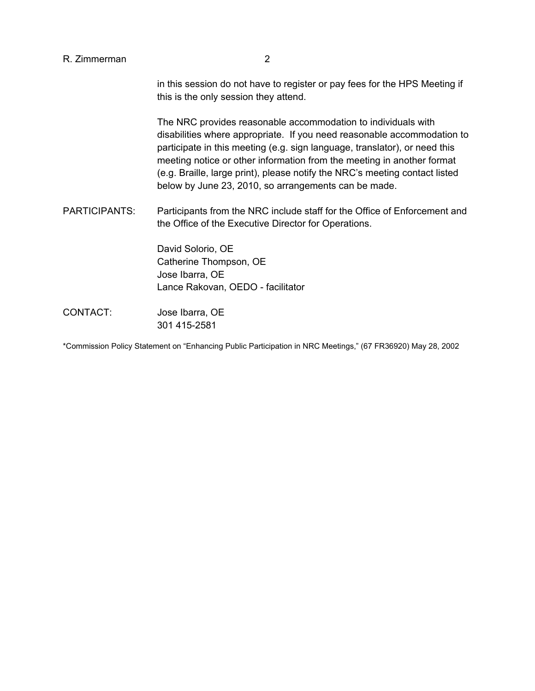in this session do not have to register or pay fees for the HPS Meeting if this is the only session they attend.

 The NRC provides reasonable accommodation to individuals with disabilities where appropriate. If you need reasonable accommodation to participate in this meeting (e.g. sign language, translator), or need this meeting notice or other information from the meeting in another format (e.g. Braille, large print), please notify the NRC's meeting contact listed below by June 23, 2010, so arrangements can be made.

PARTICIPANTS: Participants from the NRC include staff for the Office of Enforcement and the Office of the Executive Director for Operations.

> David Solorio, OE Catherine Thompson, OE Jose Ibarra, OE Lance Rakovan, OEDO - facilitator

CONTACT: Jose Ibarra, OE 301 415-2581

\*Commission Policy Statement on "Enhancing Public Participation in NRC Meetings," (67 FR36920) May 28, 2002